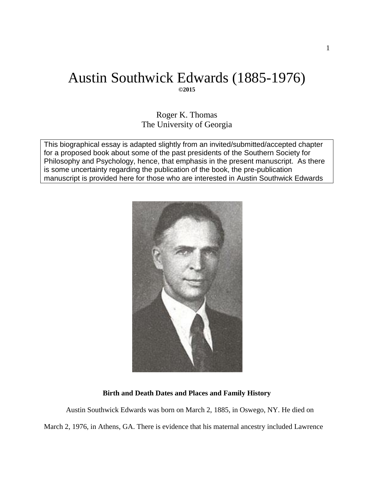# Austin Southwick Edwards (1885-1976) **©2015**

Roger K. Thomas The University of Georgia

This biographical essay is adapted slightly from an invited/submitted/accepted chapter for a proposed book about some of the past presidents of the Southern Society for Philosophy and Psychology, hence, that emphasis in the present manuscript. As there is some uncertainty regarding the publication of the book, the pre-publication manuscript is provided here for those who are interested in Austin Southwick Edwards



## **Birth and Death Dates and Places and Family History**

Austin Southwick Edwards was born on March 2, 1885, in Oswego, NY. He died on March 2, 1976, in Athens, GA. There is evidence that his maternal ancestry included Lawrence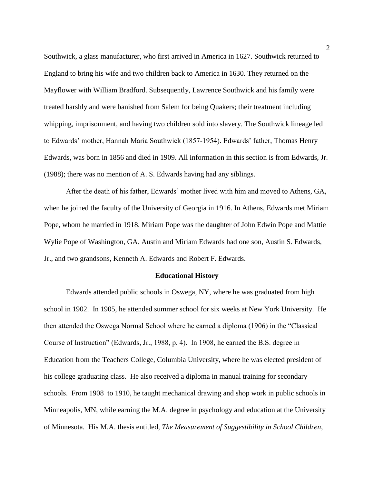Southwick, a glass manufacturer, who first arrived in America in 1627. Southwick returned to England to bring his wife and two children back to America in 1630. They returned on the Mayflower with William Bradford. Subsequently, Lawrence Southwick and his family were treated harshly and were banished from Salem for being Quakers; their treatment including whipping, imprisonment, and having two children sold into slavery. The Southwick lineage led to Edwards' mother, Hannah Maria Southwick (1857-1954). Edwards' father, Thomas Henry Edwards, was born in 1856 and died in 1909. All information in this section is from Edwards, Jr. (1988); there was no mention of A. S. Edwards having had any siblings.

After the death of his father, Edwards' mother lived with him and moved to Athens, GA, when he joined the faculty of the University of Georgia in 1916. In Athens, Edwards met Miriam Pope, whom he married in 1918. Miriam Pope was the daughter of John Edwin Pope and Mattie Wylie Pope of Washington, GA. Austin and Miriam Edwards had one son, Austin S. Edwards, Jr., and two grandsons, Kenneth A. Edwards and Robert F. Edwards.

#### **Educational History**

Edwards attended public schools in Oswega, NY, where he was graduated from high school in 1902. In 1905, he attended summer school for six weeks at New York University. He then attended the Oswega Normal School where he earned a diploma (1906) in the "Classical Course of Instruction" (Edwards, Jr., 1988, p. 4). In 1908, he earned the B.S. degree in Education from the Teachers College, Columbia University, where he was elected president of his college graduating class. He also received a diploma in manual training for secondary schools. From 1908 to 1910, he taught mechanical drawing and shop work in public schools in Minneapolis, MN, while earning the M.A. degree in psychology and education at the University of Minnesota. His M.A. thesis entitled, *The Measurement of Suggestibility in School Children*,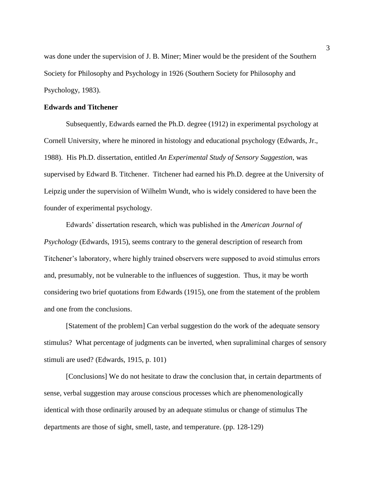was done under the supervision of J. B. Miner; Miner would be the president of the Southern Society for Philosophy and Psychology in 1926 (Southern Society for Philosophy and Psychology, 1983).

# **Edwards and Titchener**

Subsequently, Edwards earned the Ph.D. degree (1912) in experimental psychology at Cornell University, where he minored in histology and educational psychology (Edwards, Jr., 1988). His Ph.D. dissertation, entitled *An Experimental Study of Sensory Suggestion*, was supervised by Edward B. Titchener. Titchener had earned his Ph.D. degree at the University of Leipzig under the supervision of Wilhelm Wundt, who is widely considered to have been the founder of experimental psychology.

Edwards' dissertation research, which was published in the *American Journal of Psychology* (Edwards, 1915), seems contrary to the general description of research from Titchener's laboratory, where highly trained observers were supposed to avoid stimulus errors and, presumably, not be vulnerable to the influences of suggestion. Thus, it may be worth considering two brief quotations from Edwards (1915), one from the statement of the problem and one from the conclusions.

[Statement of the problem] Can verbal suggestion do the work of the adequate sensory stimulus? What percentage of judgments can be inverted, when supraliminal charges of sensory stimuli are used? (Edwards, 1915, p. 101)

[Conclusions] We do not hesitate to draw the conclusion that, in certain departments of sense, verbal suggestion may arouse conscious processes which are phenomenologically identical with those ordinarily aroused by an adequate stimulus or change of stimulus The departments are those of sight, smell, taste, and temperature. (pp. 128-129)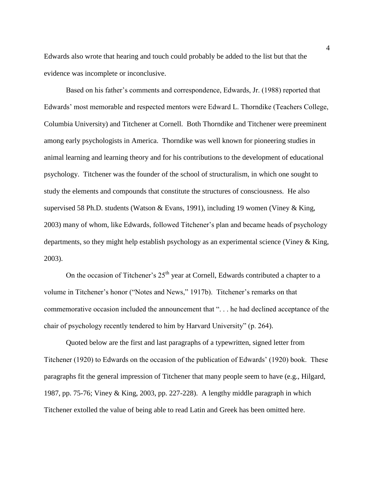Edwards also wrote that hearing and touch could probably be added to the list but that the evidence was incomplete or inconclusive.

Based on his father's comments and correspondence, Edwards, Jr. (1988) reported that Edwards' most memorable and respected mentors were Edward L. Thorndike (Teachers College, Columbia University) and Titchener at Cornell. Both Thorndike and Titchener were preeminent among early psychologists in America. Thorndike was well known for pioneering studies in animal learning and learning theory and for his contributions to the development of educational psychology. Titchener was the founder of the school of structuralism, in which one sought to study the elements and compounds that constitute the structures of consciousness. He also supervised 58 Ph.D. students (Watson & Evans, 1991), including 19 women (Viney & King, 2003) many of whom, like Edwards, followed Titchener's plan and became heads of psychology departments, so they might help establish psychology as an experimental science (Viney & King, 2003).

On the occasion of Titchener's  $25<sup>th</sup>$  year at Cornell, Edwards contributed a chapter to a volume in Titchener's honor ("Notes and News," 1917b). Titchener's remarks on that commemorative occasion included the announcement that ". . . he had declined acceptance of the chair of psychology recently tendered to him by Harvard University" (p. 264).

Quoted below are the first and last paragraphs of a typewritten, signed letter from Titchener (1920) to Edwards on the occasion of the publication of Edwards' (1920) book. These paragraphs fit the general impression of Titchener that many people seem to have (e.g., Hilgard, 1987, pp. 75-76; Viney & King, 2003, pp. 227-228). A lengthy middle paragraph in which Titchener extolled the value of being able to read Latin and Greek has been omitted here.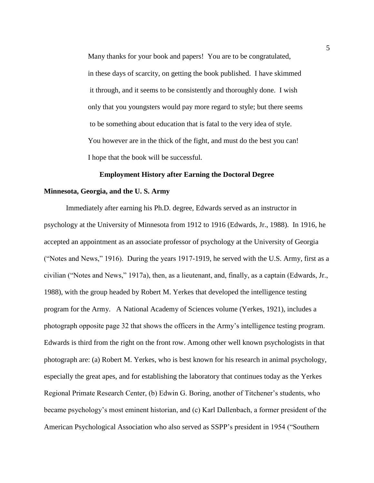Many thanks for your book and papers! You are to be congratulated, in these days of scarcity, on getting the book published. I have skimmed it through, and it seems to be consistently and thoroughly done. I wish only that you youngsters would pay more regard to style; but there seems to be something about education that is fatal to the very idea of style. You however are in the thick of the fight, and must do the best you can! I hope that the book will be successful.

## **Employment History after Earning the Doctoral Degree**

#### **Minnesota, Georgia, and the U. S. Army**

Immediately after earning his Ph.D. degree, Edwards served as an instructor in psychology at the University of Minnesota from 1912 to 1916 (Edwards, Jr., 1988). In 1916, he accepted an appointment as an associate professor of psychology at the University of Georgia ("Notes and News," 1916). During the years 1917-1919, he served with the U.S. Army, first as a civilian ("Notes and News," 1917a), then, as a lieutenant, and, finally, as a captain (Edwards, Jr., 1988), with the group headed by Robert M. Yerkes that developed the intelligence testing program for the Army. A National Academy of Sciences volume (Yerkes, 1921), includes a photograph opposite page 32 that shows the officers in the Army's intelligence testing program. Edwards is third from the right on the front row. Among other well known psychologists in that photograph are: (a) Robert M. Yerkes, who is best known for his research in animal psychology, especially the great apes, and for establishing the laboratory that continues today as the Yerkes Regional Primate Research Center, (b) Edwin G. Boring, another of Titchener's students, who became psychology's most eminent historian, and (c) Karl Dallenbach, a former president of the American Psychological Association who also served as SSPP's president in 1954 ("Southern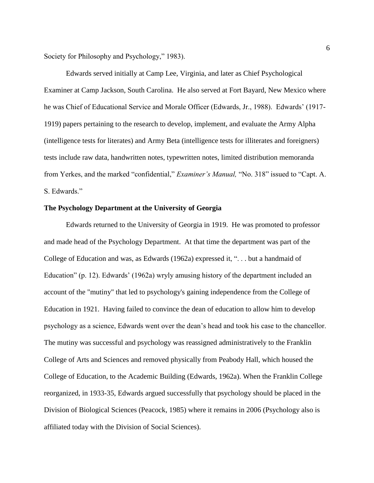Society for Philosophy and Psychology," 1983).

Edwards served initially at Camp Lee, Virginia, and later as Chief Psychological Examiner at Camp Jackson, South Carolina. He also served at Fort Bayard, New Mexico where he was Chief of Educational Service and Morale Officer (Edwards, Jr., 1988). Edwards' (1917- 1919) papers pertaining to the research to develop, implement, and evaluate the Army Alpha (intelligence tests for literates) and Army Beta (intelligence tests for illiterates and foreigners) tests include raw data, handwritten notes, typewritten notes, limited distribution memoranda from Yerkes, and the marked "confidential," *Examiner's Manual,* "No. 318" issued to "Capt. A. S. Edwards."

#### **The Psychology Department at the University of Georgia**

Edwards returned to the University of Georgia in 1919. He was promoted to professor and made head of the Psychology Department. At that time the department was part of the College of Education and was, as Edwards (1962a) expressed it, ". . . but a handmaid of Education" (p. 12). Edwards' (1962a) wryly amusing history of the department included an account of the "mutiny" that led to psychology's gaining independence from the College of Education in 1921. Having failed to convince the dean of education to allow him to develop psychology as a science, Edwards went over the dean's head and took his case to the chancellor. The mutiny was successful and psychology was reassigned administratively to the Franklin College of Arts and Sciences and removed physically from Peabody Hall, which housed the College of Education, to the Academic Building (Edwards, 1962a). When the Franklin College reorganized, in 1933-35, Edwards argued successfully that psychology should be placed in the Division of Biological Sciences (Peacock, 1985) where it remains in 2006 (Psychology also is affiliated today with the Division of Social Sciences).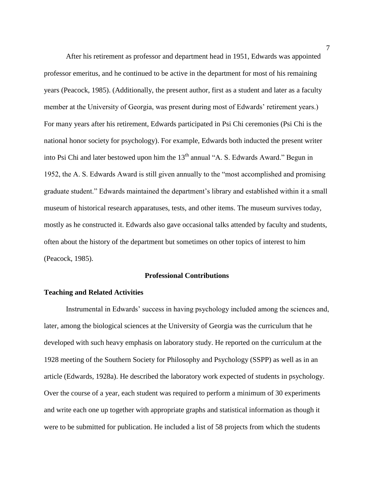After his retirement as professor and department head in 1951, Edwards was appointed professor emeritus, and he continued to be active in the department for most of his remaining years (Peacock, 1985). (Additionally, the present author, first as a student and later as a faculty member at the University of Georgia, was present during most of Edwards' retirement years.) For many years after his retirement, Edwards participated in Psi Chi ceremonies (Psi Chi is the national honor society for psychology). For example, Edwards both inducted the present writer into Psi Chi and later bestowed upon him the 13<sup>th</sup> annual "A. S. Edwards Award." Begun in 1952, the A. S. Edwards Award is still given annually to the "most accomplished and promising graduate student." Edwards maintained the department's library and established within it a small museum of historical research apparatuses, tests, and other items. The museum survives today, mostly as he constructed it. Edwards also gave occasional talks attended by faculty and students, often about the history of the department but sometimes on other topics of interest to him (Peacock, 1985).

#### **Professional Contributions**

#### **Teaching and Related Activities**

Instrumental in Edwards' success in having psychology included among the sciences and, later, among the biological sciences at the University of Georgia was the curriculum that he developed with such heavy emphasis on laboratory study. He reported on the curriculum at the 1928 meeting of the Southern Society for Philosophy and Psychology (SSPP) as well as in an article (Edwards, 1928a). He described the laboratory work expected of students in psychology. Over the course of a year, each student was required to perform a minimum of 30 experiments and write each one up together with appropriate graphs and statistical information as though it were to be submitted for publication. He included a list of 58 projects from which the students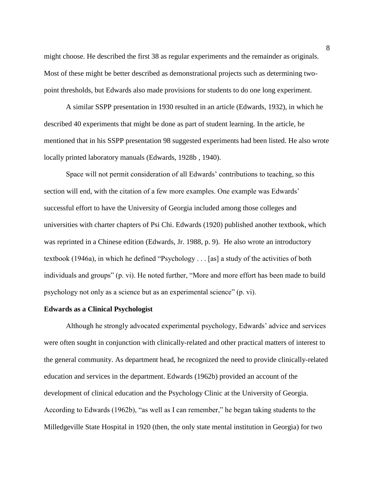might choose. He described the first 38 as regular experiments and the remainder as originals. Most of these might be better described as demonstrational projects such as determining twopoint thresholds, but Edwards also made provisions for students to do one long experiment.

A similar SSPP presentation in 1930 resulted in an article (Edwards, 1932), in which he described 40 experiments that might be done as part of student learning. In the article, he mentioned that in his SSPP presentation 98 suggested experiments had been listed. He also wrote locally printed laboratory manuals (Edwards, 1928b , 1940).

Space will not permit consideration of all Edwards' contributions to teaching, so this section will end, with the citation of a few more examples. One example was Edwards' successful effort to have the University of Georgia included among those colleges and universities with charter chapters of Psi Chi. Edwards (1920) published another textbook, which was reprinted in a Chinese edition (Edwards, Jr. 1988, p. 9). He also wrote an introductory textbook (1946a), in which he defined "Psychology . . . [as] a study of the activities of both individuals and groups" (p. vi). He noted further, "More and more effort has been made to build psychology not only as a science but as an experimental science" (p. vi).

#### **Edwards as a Clinical Psychologist**

Although he strongly advocated experimental psychology, Edwards' advice and services were often sought in conjunction with clinically-related and other practical matters of interest to the general community. As department head, he recognized the need to provide clinically-related education and services in the department. Edwards (1962b) provided an account of the development of clinical education and the Psychology Clinic at the University of Georgia. According to Edwards (1962b), "as well as I can remember," he began taking students to the Milledgeville State Hospital in 1920 (then, the only state mental institution in Georgia) for two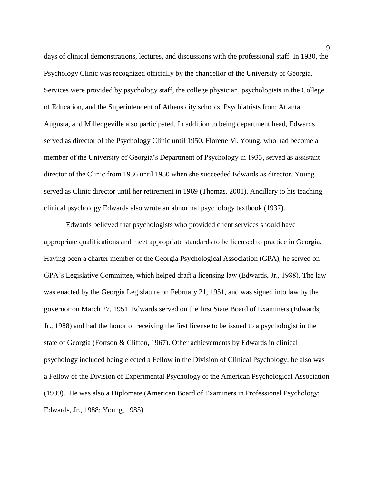days of clinical demonstrations, lectures, and discussions with the professional staff. In 1930, the Psychology Clinic was recognized officially by the chancellor of the University of Georgia. Services were provided by psychology staff, the college physician, psychologists in the College of Education, and the Superintendent of Athens city schools. Psychiatrists from Atlanta, Augusta, and Milledgeville also participated. In addition to being department head, Edwards served as director of the Psychology Clinic until 1950. Florene M. Young, who had become a member of the University of Georgia's Department of Psychology in 1933, served as assistant director of the Clinic from 1936 until 1950 when she succeeded Edwards as director. Young served as Clinic director until her retirement in 1969 (Thomas, 2001). Ancillary to his teaching clinical psychology Edwards also wrote an abnormal psychology textbook (1937).

Edwards believed that psychologists who provided client services should have appropriate qualifications and meet appropriate standards to be licensed to practice in Georgia. Having been a charter member of the Georgia Psychological Association (GPA), he served on GPA's Legislative Committee, which helped draft a licensing law (Edwards, Jr., 1988). The law was enacted by the Georgia Legislature on February 21, 1951, and was signed into law by the governor on March 27, 1951. Edwards served on the first State Board of Examiners (Edwards, Jr., 1988) and had the honor of receiving the first license to be issued to a psychologist in the state of Georgia (Fortson & Clifton, 1967). Other achievements by Edwards in clinical psychology included being elected a Fellow in the Division of Clinical Psychology; he also was a Fellow of the Division of Experimental Psychology of the American Psychological Association (1939). He was also a Diplomate (American Board of Examiners in Professional Psychology; Edwards, Jr., 1988; Young, 1985).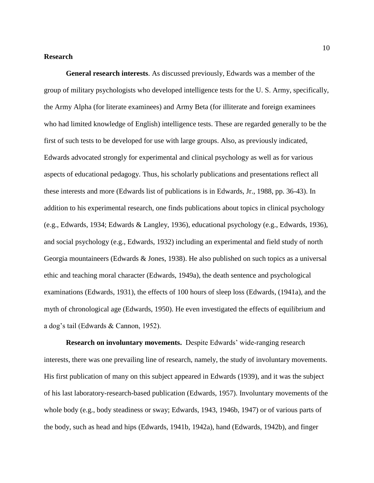### **Research**

**General research interests**. As discussed previously, Edwards was a member of the group of military psychologists who developed intelligence tests for the U. S. Army, specifically, the Army Alpha (for literate examinees) and Army Beta (for illiterate and foreign examinees who had limited knowledge of English) intelligence tests. These are regarded generally to be the first of such tests to be developed for use with large groups. Also, as previously indicated, Edwards advocated strongly for experimental and clinical psychology as well as for various aspects of educational pedagogy. Thus, his scholarly publications and presentations reflect all these interests and more (Edwards list of publications is in Edwards, Jr., 1988, pp. 36-43). In addition to his experimental research, one finds publications about topics in clinical psychology (e.g., Edwards, 1934; Edwards & Langley, 1936), educational psychology (e.g., Edwards, 1936), and social psychology (e.g., Edwards, 1932) including an experimental and field study of north Georgia mountaineers (Edwards & Jones, 1938). He also published on such topics as a universal ethic and teaching moral character (Edwards, 1949a), the death sentence and psychological examinations (Edwards, 1931), the effects of 100 hours of sleep loss (Edwards, (1941a), and the myth of chronological age (Edwards, 1950). He even investigated the effects of equilibrium and a dog's tail (Edwards & Cannon, 1952).

**Research on involuntary movements.** Despite Edwards' wide-ranging research interests, there was one prevailing line of research, namely, the study of involuntary movements. His first publication of many on this subject appeared in Edwards (1939), and it was the subject of his last laboratory-research-based publication (Edwards, 1957). Involuntary movements of the whole body (e.g., body steadiness or sway; Edwards, 1943, 1946b, 1947) or of various parts of the body, such as head and hips (Edwards, 1941b, 1942a), hand (Edwards, 1942b), and finger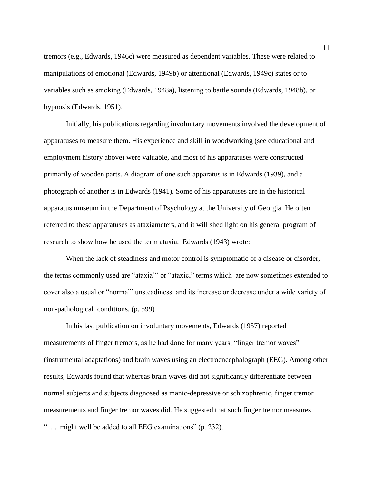tremors (e.g., Edwards, 1946c) were measured as dependent variables. These were related to manipulations of emotional (Edwards, 1949b) or attentional (Edwards, 1949c) states or to variables such as smoking (Edwards, 1948a), listening to battle sounds (Edwards, 1948b), or hypnosis (Edwards, 1951).

Initially, his publications regarding involuntary movements involved the development of apparatuses to measure them. His experience and skill in woodworking (see educational and employment history above) were valuable, and most of his apparatuses were constructed primarily of wooden parts. A diagram of one such apparatus is in Edwards (1939), and a photograph of another is in Edwards (1941). Some of his apparatuses are in the historical apparatus museum in the Department of Psychology at the University of Georgia. He often referred to these apparatuses as ataxiameters, and it will shed light on his general program of research to show how he used the term ataxia. Edwards (1943) wrote:

When the lack of steadiness and motor control is symptomatic of a disease or disorder, the terms commonly used are "ataxia"' or "ataxic," terms which are now sometimes extended to cover also a usual or "normal" unsteadiness and its increase or decrease under a wide variety of non-pathological conditions. (p. 599)

In his last publication on involuntary movements, Edwards (1957) reported measurements of finger tremors, as he had done for many years, "finger tremor waves" (instrumental adaptations) and brain waves using an electroencephalograph (EEG). Among other results, Edwards found that whereas brain waves did not significantly differentiate between normal subjects and subjects diagnosed as manic-depressive or schizophrenic, finger tremor measurements and finger tremor waves did. He suggested that such finger tremor measures ". . . might well be added to all EEG examinations" (p. 232).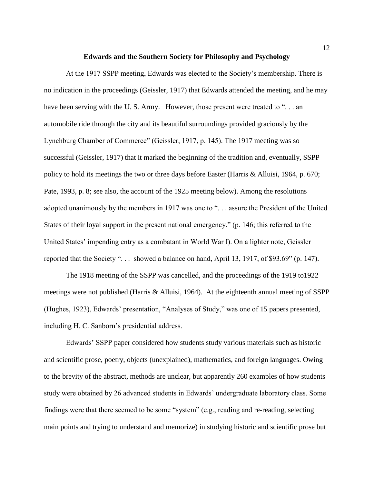#### **Edwards and the Southern Society for Philosophy and Psychology**

At the 1917 SSPP meeting, Edwards was elected to the Society's membership. There is no indication in the proceedings (Geissler, 1917) that Edwards attended the meeting, and he may have been serving with the U.S. Army. However, those present were treated to "... an automobile ride through the city and its beautiful surroundings provided graciously by the Lynchburg Chamber of Commerce" (Geissler, 1917, p. 145). The 1917 meeting was so successful (Geissler, 1917) that it marked the beginning of the tradition and, eventually, SSPP policy to hold its meetings the two or three days before Easter (Harris & Alluisi, 1964, p. 670; Pate, 1993, p. 8; see also, the account of the 1925 meeting below). Among the resolutions adopted unanimously by the members in 1917 was one to ". . . assure the President of the United States of their loyal support in the present national emergency." (p. 146; this referred to the United States' impending entry as a combatant in World War I). On a lighter note, Geissler reported that the Society ". . . showed a balance on hand, April 13, 1917, of \$93.69" (p. 147).

The 1918 meeting of the SSPP was cancelled, and the proceedings of the 1919 to1922 meetings were not published (Harris & Alluisi, 1964). At the eighteenth annual meeting of SSPP (Hughes, 1923), Edwards' presentation, "Analyses of Study," was one of 15 papers presented, including H. C. Sanborn's presidential address.

Edwards' SSPP paper considered how students study various materials such as historic and scientific prose, poetry, objects (unexplained), mathematics, and foreign languages. Owing to the brevity of the abstract, methods are unclear, but apparently 260 examples of how students study were obtained by 26 advanced students in Edwards' undergraduate laboratory class. Some findings were that there seemed to be some "system" (e.g., reading and re-reading, selecting main points and trying to understand and memorize) in studying historic and scientific prose but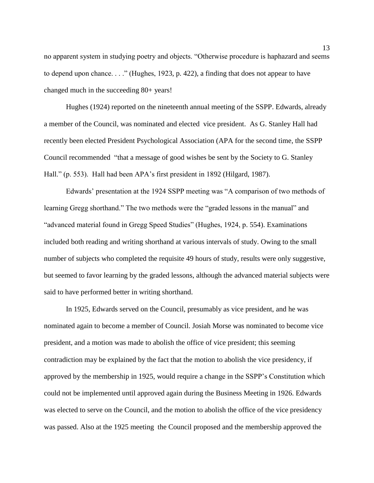no apparent system in studying poetry and objects. "Otherwise procedure is haphazard and seems to depend upon chance. . . ." (Hughes, 1923, p. 422), a finding that does not appear to have changed much in the succeeding 80+ years!

Hughes (1924) reported on the nineteenth annual meeting of the SSPP. Edwards, already a member of the Council, was nominated and elected vice president. As G. Stanley Hall had recently been elected President Psychological Association (APA for the second time, the SSPP Council recommended "that a message of good wishes be sent by the Society to G. Stanley Hall." (p. 553). Hall had been APA's first president in 1892 (Hilgard, 1987).

Edwards' presentation at the 1924 SSPP meeting was "A comparison of two methods of learning Gregg shorthand." The two methods were the "graded lessons in the manual" and "advanced material found in Gregg Speed Studies" (Hughes, 1924, p. 554). Examinations included both reading and writing shorthand at various intervals of study. Owing to the small number of subjects who completed the requisite 49 hours of study, results were only suggestive, but seemed to favor learning by the graded lessons, although the advanced material subjects were said to have performed better in writing shorthand.

In 1925, Edwards served on the Council, presumably as vice president, and he was nominated again to become a member of Council. Josiah Morse was nominated to become vice president, and a motion was made to abolish the office of vice president; this seeming contradiction may be explained by the fact that the motion to abolish the vice presidency, if approved by the membership in 1925, would require a change in the SSPP's Constitution which could not be implemented until approved again during the Business Meeting in 1926. Edwards was elected to serve on the Council, and the motion to abolish the office of the vice presidency was passed. Also at the 1925 meeting the Council proposed and the membership approved the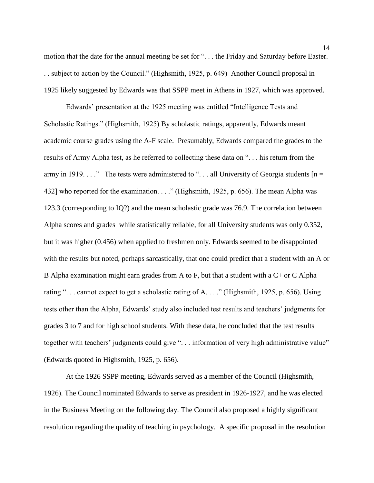motion that the date for the annual meeting be set for ". . . the Friday and Saturday before Easter. . . subject to action by the Council." (Highsmith, 1925, p. 649) Another Council proposal in 1925 likely suggested by Edwards was that SSPP meet in Athens in 1927, which was approved.

Edwards' presentation at the 1925 meeting was entitled "Intelligence Tests and Scholastic Ratings." (Highsmith, 1925) By scholastic ratings, apparently, Edwards meant academic course grades using the A-F scale. Presumably, Edwards compared the grades to the results of Army Alpha test, as he referred to collecting these data on ". . . his return from the army in 1919. . . ." The tests were administered to "... all University of Georgia students  $[n =$ 432] who reported for the examination. . . ." (Highsmith, 1925, p. 656). The mean Alpha was 123.3 (corresponding to IQ?) and the mean scholastic grade was 76.9. The correlation between Alpha scores and grades while statistically reliable, for all University students was only 0.352, but it was higher (0.456) when applied to freshmen only. Edwards seemed to be disappointed with the results but noted, perhaps sarcastically, that one could predict that a student with an A or B Alpha examination might earn grades from A to F, but that a student with a C+ or C Alpha rating ". . . cannot expect to get a scholastic rating of A. . . ." (Highsmith, 1925, p. 656). Using tests other than the Alpha, Edwards' study also included test results and teachers' judgments for grades 3 to 7 and for high school students. With these data, he concluded that the test results together with teachers' judgments could give ". . . information of very high administrative value" (Edwards quoted in Highsmith, 1925, p. 656).

At the 1926 SSPP meeting, Edwards served as a member of the Council (Highsmith, 1926). The Council nominated Edwards to serve as president in 1926-1927, and he was elected in the Business Meeting on the following day. The Council also proposed a highly significant resolution regarding the quality of teaching in psychology. A specific proposal in the resolution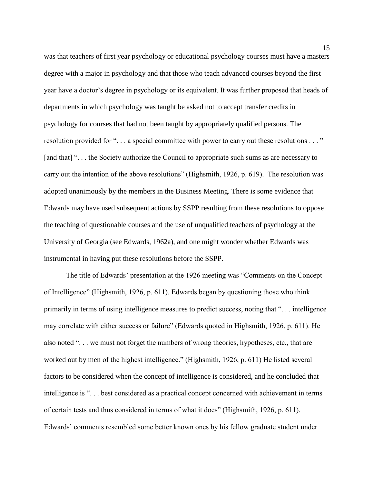was that teachers of first year psychology or educational psychology courses must have a masters degree with a major in psychology and that those who teach advanced courses beyond the first year have a doctor's degree in psychology or its equivalent. It was further proposed that heads of departments in which psychology was taught be asked not to accept transfer credits in psychology for courses that had not been taught by appropriately qualified persons. The resolution provided for "... a special committee with power to carry out these resolutions ..." [and that] "... the Society authorize the Council to appropriate such sums as are necessary to carry out the intention of the above resolutions" (Highsmith, 1926, p. 619). The resolution was adopted unanimously by the members in the Business Meeting. There is some evidence that Edwards may have used subsequent actions by SSPP resulting from these resolutions to oppose the teaching of questionable courses and the use of unqualified teachers of psychology at the University of Georgia (see Edwards, 1962a), and one might wonder whether Edwards was instrumental in having put these resolutions before the SSPP.

The title of Edwards' presentation at the 1926 meeting was "Comments on the Concept of Intelligence" (Highsmith, 1926, p. 611). Edwards began by questioning those who think primarily in terms of using intelligence measures to predict success, noting that ". . . intelligence may correlate with either success or failure" (Edwards quoted in Highsmith, 1926, p. 611). He also noted ". . . we must not forget the numbers of wrong theories, hypotheses, etc., that are worked out by men of the highest intelligence." (Highsmith, 1926, p. 611) He listed several factors to be considered when the concept of intelligence is considered, and he concluded that intelligence is ". . . best considered as a practical concept concerned with achievement in terms of certain tests and thus considered in terms of what it does" (Highsmith, 1926, p. 611). Edwards' comments resembled some better known ones by his fellow graduate student under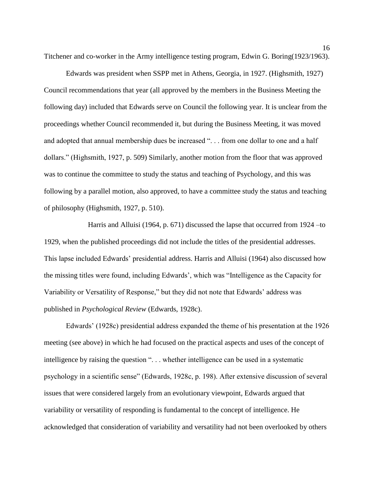Titchener and co-worker in the Army intelligence testing program, Edwin G. Boring(1923/1963).

Edwards was president when SSPP met in Athens, Georgia, in 1927. (Highsmith, 1927) Council recommendations that year (all approved by the members in the Business Meeting the following day) included that Edwards serve on Council the following year. It is unclear from the proceedings whether Council recommended it, but during the Business Meeting, it was moved and adopted that annual membership dues be increased ". . . from one dollar to one and a half dollars." (Highsmith, 1927, p. 509) Similarly, another motion from the floor that was approved was to continue the committee to study the status and teaching of Psychology, and this was following by a parallel motion, also approved, to have a committee study the status and teaching of philosophy (Highsmith, 1927, p. 510).

Harris and Alluisi (1964, p. 671) discussed the lapse that occurred from 1924 –to 1929, when the published proceedings did not include the titles of the presidential addresses. This lapse included Edwards' presidential address. Harris and Alluisi (1964) also discussed how the missing titles were found, including Edwards', which was "Intelligence as the Capacity for Variability or Versatility of Response," but they did not note that Edwards' address was published in *Psychological Review* (Edwards, 1928c).

Edwards' (1928c) presidential address expanded the theme of his presentation at the 1926 meeting (see above) in which he had focused on the practical aspects and uses of the concept of intelligence by raising the question ". . . whether intelligence can be used in a systematic psychology in a scientific sense" (Edwards, 1928c, p. 198). After extensive discussion of several issues that were considered largely from an evolutionary viewpoint, Edwards argued that variability or versatility of responding is fundamental to the concept of intelligence. He acknowledged that consideration of variability and versatility had not been overlooked by others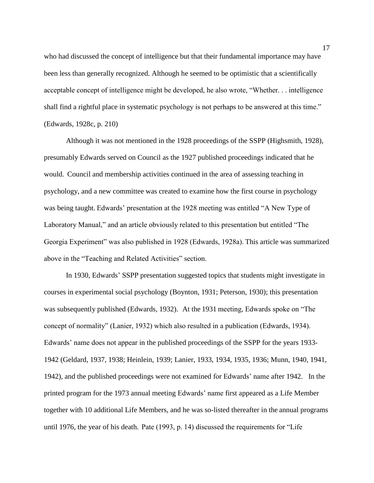who had discussed the concept of intelligence but that their fundamental importance may have been less than generally recognized. Although he seemed to be optimistic that a scientifically acceptable concept of intelligence might be developed, he also wrote, "Whether. . . intelligence shall find a rightful place in systematic psychology is not perhaps to be answered at this time." (Edwards, 1928c, p. 210)

Although it was not mentioned in the 1928 proceedings of the SSPP (Highsmith, 1928), presumably Edwards served on Council as the 1927 published proceedings indicated that he would. Council and membership activities continued in the area of assessing teaching in psychology, and a new committee was created to examine how the first course in psychology was being taught. Edwards' presentation at the 1928 meeting was entitled "A New Type of Laboratory Manual," and an article obviously related to this presentation but entitled "The Georgia Experiment" was also published in 1928 (Edwards, 1928a). This article was summarized above in the "Teaching and Related Activities" section.

In 1930, Edwards' SSPP presentation suggested topics that students might investigate in courses in experimental social psychology (Boynton, 1931; Peterson, 1930); this presentation was subsequently published (Edwards, 1932). At the 1931 meeting, Edwards spoke on "The concept of normality" (Lanier, 1932) which also resulted in a publication (Edwards, 1934). Edwards' name does not appear in the published proceedings of the SSPP for the years 1933- 1942 (Geldard, 1937, 1938; Heinlein, 1939; Lanier, 1933, 1934, 1935, 1936; Munn, 1940, 1941, 1942), and the published proceedings were not examined for Edwards' name after 1942. In the printed program for the 1973 annual meeting Edwards' name first appeared as a Life Member together with 10 additional Life Members, and he was so-listed thereafter in the annual programs until 1976, the year of his death. Pate (1993, p. 14) discussed the requirements for "Life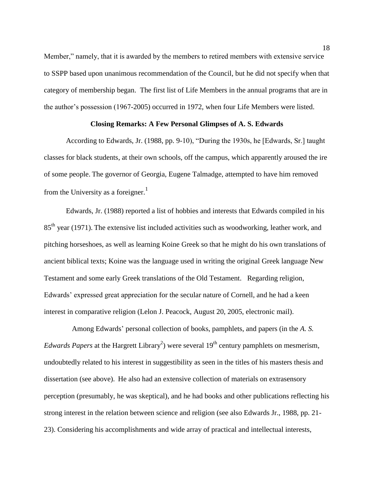Member," namely, that it is awarded by the members to retired members with extensive service to SSPP based upon unanimous recommendation of the Council, but he did not specify when that category of membership began. The first list of Life Members in the annual programs that are in the author's possession (1967-2005) occurred in 1972, when four Life Members were listed.

# **Closing Remarks: A Few Personal Glimpses of A. S. Edwards**

According to Edwards, Jr. (1988, pp. 9-10), "During the 1930s, he [Edwards, Sr.] taught classes for black students, at their own schools, off the campus, which apparently aroused the ire of some people. The governor of Georgia, Eugene Talmadge, attempted to have him removed from the University as a foreigner.<sup>1</sup>

Edwards, Jr. (1988) reported a list of hobbies and interests that Edwards compiled in his 85<sup>th</sup> year (1971). The extensive list included activities such as woodworking, leather work, and pitching horseshoes, as well as learning Koine Greek so that he might do his own translations of ancient biblical texts; Koine was the language used in writing the original Greek language New Testament and some early Greek translations of the Old Testament. Regarding religion, Edwards' expressed great appreciation for the secular nature of Cornell, and he had a keen interest in comparative religion (Lelon J. Peacock, August 20, 2005, electronic mail).

Among Edwards' personal collection of books, pamphlets, and papers (in the *A. S. Edwards Papers* at the Hargrett Library<sup>2</sup>) were several  $19<sup>th</sup>$  century pamphlets on mesmerism, undoubtedly related to his interest in suggestibility as seen in the titles of his masters thesis and dissertation (see above). He also had an extensive collection of materials on extrasensory perception (presumably, he was skeptical), and he had books and other publications reflecting his strong interest in the relation between science and religion (see also Edwards Jr., 1988, pp. 21- 23). Considering his accomplishments and wide array of practical and intellectual interests,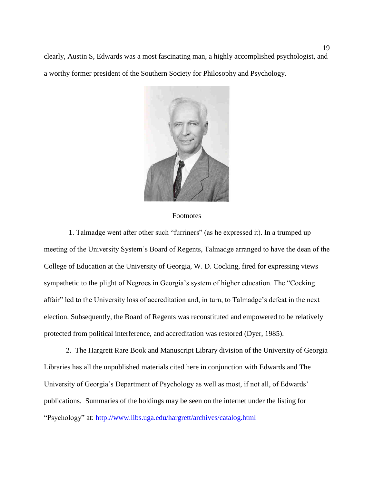clearly, Austin S, Edwards was a most fascinating man, a highly accomplished psychologist, and a worthy former president of the Southern Society for Philosophy and Psychology.



#### Footnotes

1. Talmadge went after other such "furriners" (as he expressed it). In a trumped up meeting of the University System's Board of Regents, Talmadge arranged to have the dean of the College of Education at the University of Georgia, W. D. Cocking, fired for expressing views sympathetic to the plight of Negroes in Georgia's system of higher education. The "Cocking affair" led to the University loss of accreditation and, in turn, to Talmadge's defeat in the next election. Subsequently, the Board of Regents was reconstituted and empowered to be relatively protected from political interference, and accreditation was restored (Dyer, 1985).

2. The Hargrett Rare Book and Manuscript Library division of the University of Georgia Libraries has all the unpublished materials cited here in conjunction with Edwards and The University of Georgia's Department of Psychology as well as most, if not all, of Edwards' publications. Summaries of the holdings may be seen on the internet under the listing for "Psychology" at:<http://www.libs.uga.edu/hargrett/archives/catalog.html>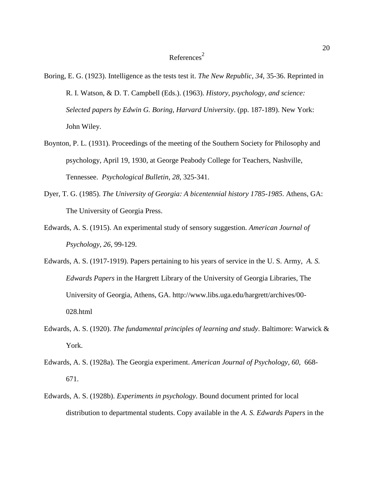# $References<sup>2</sup>$

- Boring, E. G. (1923). Intelligence as the tests test it. *The New Republic*, *34*, 35-36. Reprinted in R. I. Watson, & D. T. Campbell (Eds.). (1963). *History, psychology, and science: Selected papers by Edwin G. Boring, Harvard University*. (pp. 187-189). New York: John Wiley.
- Boynton, P. L. (1931). Proceedings of the meeting of the Southern Society for Philosophy and psychology, April 19, 1930, at George Peabody College for Teachers, Nashville, Tennessee. *Psychological Bulletin*, *28*, 325-341.
- Dyer, T. G. (1985). *The University of Georgia: A bicentennial history 1785-1985*. Athens, GA: The University of Georgia Press.
- Edwards, A. S. (1915). An experimental study of sensory suggestion. *American Journal of Psychology*, *26*, 99-129.
- Edwards, A. S. (1917-1919). Papers pertaining to his years of service in the U. S. Army, *A. S. Edwards Papers* in the Hargrett Library of the University of Georgia Libraries, The University of Georgia, Athens, GA. http://www.libs.uga.edu/hargrett/archives/00- 028.html
- Edwards, A. S. (1920). *The fundamental principles of learning and study*. Baltimore: Warwick & York.
- Edwards, A. S. (1928a). The Georgia experiment. *American Journal of Psychology*, *60*, 668- 671.
- Edwards, A. S. (1928b). *Experiments in psychology*. Bound document printed for local distribution to departmental students. Copy available in the *A. S. Edwards Papers* in the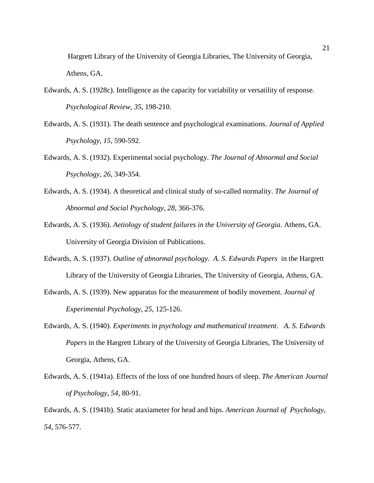Hargrett Library of the University of Georgia Libraries, The University of Georgia, Athens, GA.

- Edwards, A. S. (1928c). Intelligence as the capacity for variability or versatility of response. *Psychological Review*, *35*, 198-210.
- Edwards, A. S. (1931). The death sentence and psychological examinations. *Journal of Applied Psychology*, *15*, 590-592.
- Edwards, A. S. (1932). Experimental social psychology. *The Journal of Abnormal and Social Psychology*, *26*, 349-354.
- Edwards, A. S. (1934). A theoretical and clinical study of so-called normality. *The Journal of Abnormal and Social Psychology*, *28*, 366-376.
- Edwards, A. S. (1936). *Aetiology of student failures in the University of Georgia*. Athens, GA. University of Georgia Division of Publications.
- Edwards, A. S. (1937). *Outline of abnormal psychology*. *A. S. Edwards Papers* in the Hargrett Library of the University of Georgia Libraries, The University of Georgia, Athens, GA.
- Edwards, A. S. (1939). New apparatus for the measurement of bodily movement. *Journal of Experimental Psychology*, *25*, 125-126.
- Edwards, A. S. (1940). *Experiments in psychology and mathematical treatment*. *A. S. Edwards Papers* in the Hargrett Library of the University of Georgia Libraries, The University of Georgia, Athens, GA.
- Edwards, A. S. (1941a). Effects of the loss of one hundred hours of sleep. *The American Journal of Psychology*, *54*, 80-91.

Edwards, A. S. (1941b). Static ataxiameter for head and hips. *American Journal of Psychology*, *54*, 576-577.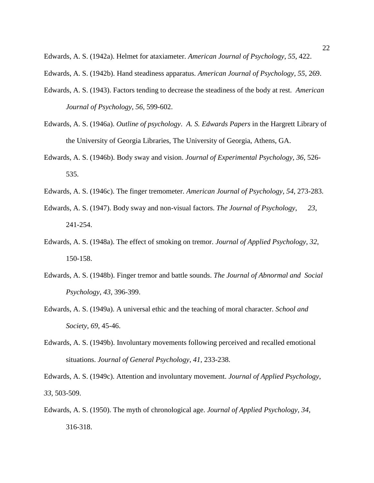Edwards, A. S. (1942a). Helmet for ataxiameter. *American Journal of Psychology*, *55*, 422.

- Edwards, A. S. (1942b). Hand steadiness apparatus. *American Journal of Psychology*, *55*, 269.
- Edwards, A. S. (1943). Factors tending to decrease the steadiness of the body at rest. *American Journal of Psychology*, *56*, 599-602.
- Edwards, A. S. (1946a). *Outline of psychology*. *A. S. Edwards Papers* in the Hargrett Library of the University of Georgia Libraries, The University of Georgia, Athens, GA.
- Edwards, A. S. (1946b). Body sway and vision. *Journal of Experimental Psychology*, *36*, 526- 535.
- Edwards, A. S. (1946c). The finger tremometer. *American Journal of Psychology*, *54*, 273-283.
- Edwards, A. S. (1947). Body sway and non-visual factors. *The Journal of Psychology*, *23*, 241-254.
- Edwards, A. S. (1948a). The effect of smoking on tremor. *Journal of Applied Psychology*, *32*, 150-158.
- Edwards, A. S. (1948b). Finger tremor and battle sounds. *The Journal of Abnormal and Social Psychology*, *43*, 396-399.
- Edwards, A. S. (1949a). A universal ethic and the teaching of moral character. *School and Society*, *69*, 45-46.
- Edwards, A. S. (1949b). Involuntary movements following perceived and recalled emotional situations. *Journal of General Psychology*, *41*, 233-238.

Edwards, A. S. (1949c). Attention and involuntary movement. *Journal of Applied Psychology*, *33*, 503-509.

Edwards, A. S. (1950). The myth of chronological age. *Journal of Applied Psychology*, *34*, 316-318.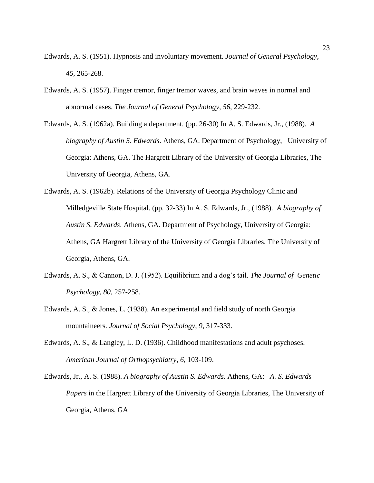- Edwards, A. S. (1951). Hypnosis and involuntary movement. *Journal of General Psychology*, *45*, 265-268.
- Edwards, A. S. (1957). Finger tremor, finger tremor waves, and brain waves in normal and abnormal cases. *The Journal of General Psychology*, *56*, 229-232.
- Edwards, A. S. (1962a). Building a department. (pp. 26-30) In A. S. Edwards, Jr., (1988). *A biography of Austin S. Edwards*. Athens, GA. Department of Psychology, University of Georgia: Athens, GA. The Hargrett Library of the University of Georgia Libraries, The University of Georgia, Athens, GA.
- Edwards, A. S. (1962b). Relations of the University of Georgia Psychology Clinic and Milledgeville State Hospital. (pp. 32-33) In A. S. Edwards, Jr., (1988). *A biography of Austin S. Edwards*. Athens, GA. Department of Psychology, University of Georgia: Athens, GA Hargrett Library of the University of Georgia Libraries, The University of Georgia, Athens, GA.
- Edwards, A. S., & Cannon, D. J. (1952). Equilibrium and a dog's tail. *The Journal of Genetic Psychology*, *80*, 257-258.
- Edwards, A. S., & Jones, L. (1938). An experimental and field study of north Georgia mountaineers. *Journal of Social Psychology*, *9*, 317-333.
- Edwards, A. S., & Langley, L. D. (1936). Childhood manifestations and adult psychoses. *American Journal of Orthopsychiatry*, *6*, 103-109.
- Edwards, Jr., A. S. (1988). *A biography of Austin S. Edwards*. Athens, GA: *A. S. Edwards Papers* in the Hargrett Library of the University of Georgia Libraries, The University of Georgia, Athens, GA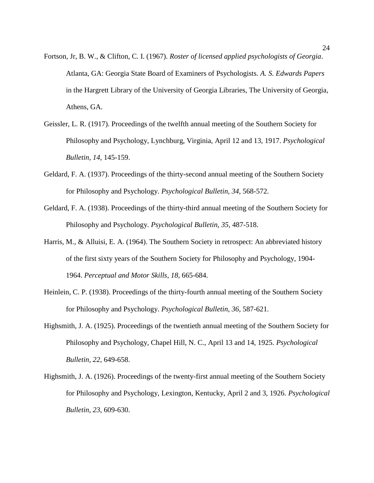- Fortson, Jr, B. W., & Clifton, C. I. (1967). *Roster of licensed applied psychologists of Georgia*. Atlanta, GA: Georgia State Board of Examiners of Psychologists. *A. S. Edwards Papers* in the Hargrett Library of the University of Georgia Libraries, The University of Georgia, Athens, GA.
- Geissler, L. R. (1917). Proceedings of the twelfth annual meeting of the Southern Society for Philosophy and Psychology, Lynchburg, Virginia, April 12 and 13, 1917. *Psychological Bulletin*, *14*, 145-159.
- Geldard, F. A. (1937). Proceedings of the thirty-second annual meeting of the Southern Society for Philosophy and Psychology. *Psychological Bulletin*, *34*, 568-572.
- Geldard, F. A. (1938). Proceedings of the thirty-third annual meeting of the Southern Society for Philosophy and Psychology. *Psychological Bulletin*, *35*, 487-518.
- Harris, M., & Alluisi, E. A. (1964). The Southern Society in retrospect: An abbreviated history of the first sixty years of the Southern Society for Philosophy and Psychology, 1904- 1964. *Perceptual and Motor Skills*, *18*, 665-684.
- Heinlein, C. P. (1938). Proceedings of the thirty-fourth annual meeting of the Southern Society for Philosophy and Psychology. *Psychological Bulletin*, *36*, 587-621.
- Highsmith, J. A. (1925). Proceedings of the twentieth annual meeting of the Southern Society for Philosophy and Psychology, Chapel Hill, N. C., April 13 and 14, 1925. *Psychological Bulletin*, *22*, 649-658.
- Highsmith, J. A. (1926). Proceedings of the twenty-first annual meeting of the Southern Society for Philosophy and Psychology, Lexington, Kentucky, April 2 and 3, 1926. *Psychological Bulletin*, *23*, 609-630.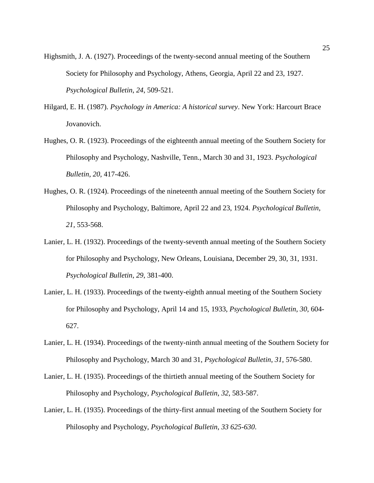- Highsmith, J. A. (1927). Proceedings of the twenty-second annual meeting of the Southern Society for Philosophy and Psychology, Athens, Georgia, April 22 and 23, 1927. *Psychological Bulletin*, *24*, 509-521.
- Hilgard, E. H. (1987). *Psychology in America: A historical survey*. New York: Harcourt Brace Jovanovich.
- Hughes, O. R. (1923). Proceedings of the eighteenth annual meeting of the Southern Society for Philosophy and Psychology, Nashville, Tenn., March 30 and 31, 1923. *Psychological Bulletin*, *20*, 417-426.
- Hughes, O. R. (1924). Proceedings of the nineteenth annual meeting of the Southern Society for Philosophy and Psychology, Baltimore, April 22 and 23, 1924. *Psychological Bulletin*, *21*, 553-568.
- Lanier, L. H. (1932). Proceedings of the twenty-seventh annual meeting of the Southern Society for Philosophy and Psychology, New Orleans, Louisiana, December 29, 30, 31, 1931. *Psychological Bulletin*, *29*, 381-400.
- Lanier, L. H. (1933). Proceedings of the twenty-eighth annual meeting of the Southern Society for Philosophy and Psychology, April 14 and 15, 1933, *Psychological Bulletin*, *30*, 604- 627.
- Lanier, L. H. (1934). Proceedings of the twenty-ninth annual meeting of the Southern Society for Philosophy and Psychology, March 30 and 31, *Psychological Bulletin*, *31*, 576-580.
- Lanier, L. H. (1935). Proceedings of the thirtieth annual meeting of the Southern Society for Philosophy and Psychology, *Psychological Bulletin*, *32*, 583-587.
- Lanier, L. H. (1935). Proceedings of the thirty-first annual meeting of the Southern Society for Philosophy and Psychology, *Psychological Bulletin*, *33 625-630*.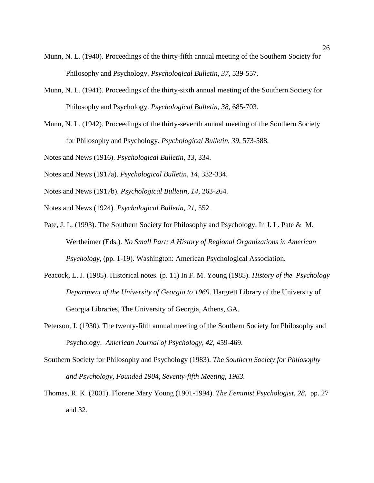- Munn, N. L. (1940). Proceedings of the thirty-fifth annual meeting of the Southern Society for Philosophy and Psychology. *Psychological Bulletin*, *37*, 539-557.
- Munn, N. L. (1941). Proceedings of the thirty-sixth annual meeting of the Southern Society for Philosophy and Psychology. *Psychological Bulletin*, *38*, 685-703.
- Munn, N. L. (1942). Proceedings of the thirty-seventh annual meeting of the Southern Society for Philosophy and Psychology. *Psychological Bulletin*, *39*, 573-588.

Notes and News (1916). *Psychological Bulletin*, *13*, 334.

Notes and News (1917a). *Psychological Bulletin*, *14*, 332-334.

- Notes and News (1917b). *Psychological Bulletin*, *14*, 263-264.
- Notes and News (1924). *Psychological Bulletin*, *21*, 552.
- Pate, J. L. (1993). The Southern Society for Philosophy and Psychology. In J. L. Pate & M. Wertheimer (Eds.). *No Small Part: A History of Regional Organizations in American Psychology*, (pp. 1-19). Washington: American Psychological Association.
- Peacock, L. J. (1985). Historical notes. (p. 11) In F. M. Young (1985). *History of the Psychology Department of the University of Georgia to 1969*. Hargrett Library of the University of Georgia Libraries, The University of Georgia, Athens, GA.
- Peterson, J. (1930). The twenty-fifth annual meeting of the Southern Society for Philosophy and Psychology. *American Journal of Psychology*, *42*, 459-469.
- Southern Society for Philosophy and Psychology (1983). *The Southern Society for Philosophy and Psychology, Founded 1904, Seventy-fifth Meeting, 1983.*
- Thomas, R. K. (2001). Florene Mary Young (1901-1994). *The Feminist Psychologist*, *28*, pp. 27 and 32.